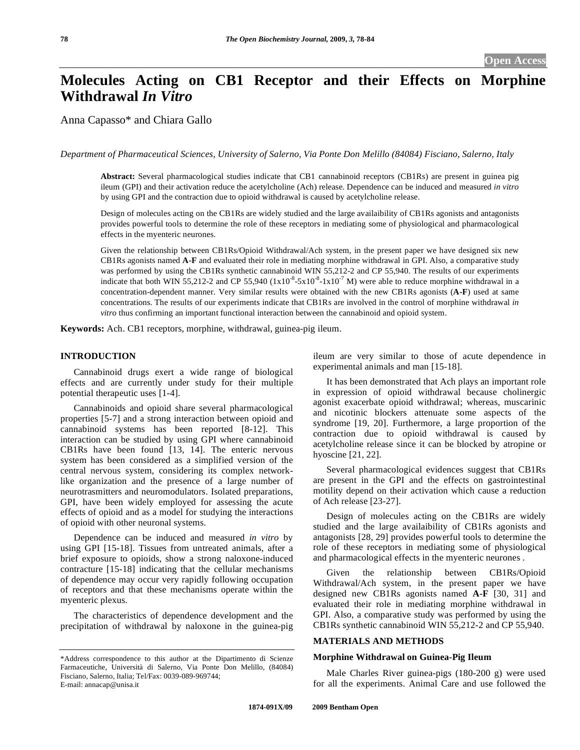# **Molecules Acting on CB1 Receptor and their Effects on Morphine Withdrawal** *In Vitro*

Anna Capasso\* and Chiara Gallo

*Department of Pharmaceutical Sciences, University of Salerno, Via Ponte Don Melillo (84084) Fisciano, Salerno, Italy* 

**Abstract:** Several pharmacological studies indicate that CB1 cannabinoid receptors (CB1Rs) are present in guinea pig ileum (GPI) and their activation reduce the acetylcholine (Ach) release. Dependence can be induced and measured *in vitro* by using GPI and the contraction due to opioid withdrawal is caused by acetylcholine release.

Design of molecules acting on the CB1Rs are widely studied and the large availaibility of CB1Rs agonists and antagonists provides powerful tools to determine the role of these receptors in mediating some of physiological and pharmacological effects in the myenteric neurones.

Given the relationship between CB1Rs/Opioid Withdrawal/Ach system, in the present paper we have designed six new CB1Rs agonists named **A-F** and evaluated their role in mediating morphine withdrawal in GPI. Also, a comparative study was performed by using the CB1Rs synthetic cannabinoid WIN 55,212-2 and CP 55,940. The results of our experiments indicate that both WIN 55,212-2 and CP 55,940  $(1x10^{-8}-5x10^{-8}-1x10^{-7})$  were able to reduce morphine withdrawal in a concentration-dependent manner. Very similar results were obtained with the new CB1Rs agonists (**A-F**) used at same concentrations. The results of our experiments indicate that CB1Rs are involved in the control of morphine withdrawal *in vitro* thus confirming an important functional interaction between the cannabinoid and opioid system.

**Keywords:** Ach. CB1 receptors, morphine, withdrawal, guinea-pig ileum.

# **INTRODUCTION**

 Cannabinoid drugs exert a wide range of biological effects and are currently under study for their multiple potential therapeutic uses [1-4].

 Cannabinoids and opioid share several pharmacological properties [5-7] and a strong interaction between opioid and cannabinoid systems has been reported [8-12]. This interaction can be studied by using GPI where cannabinoid CB1Rs have been found [13, 14]. The enteric nervous system has been considered as a simplified version of the central nervous system, considering its complex networklike organization and the presence of a large number of neurotrasmitters and neuromodulators. Isolated preparations, GPI, have been widely employed for assessing the acute effects of opioid and as a model for studying the interactions of opioid with other neuronal systems.

 Dependence can be induced and measured *in vitro* by using GPI [15-18]. Tissues from untreated animals, after a brief exposure to opioids, show a strong naloxone-induced contracture [15-18] indicating that the cellular mechanisms of dependence may occur very rapidly following occupation of receptors and that these mechanisms operate within the myenteric plexus.

 The characteristics of dependence development and the precipitation of withdrawal by naloxone in the guinea-pig ileum are very similar to those of acute dependence in experimental animals and man [15-18].

 It has been demonstrated that Ach plays an important role in expression of opioid withdrawal because cholinergic agonist exacerbate opioid withdrawal; whereas, muscarinic and nicotinic blockers attenuate some aspects of the syndrome [19, 20]. Furthermore, a large proportion of the contraction due to opioid withdrawal is caused by acetylcholine release since it can be blocked by atropine or hyoscine [21, 22].

 Several pharmacological evidences suggest that CB1Rs are present in the GPI and the effects on gastrointestinal motility depend on their activation which cause a reduction of Ach release [23-27].

 Design of molecules acting on the CB1Rs are widely studied and the large availaibility of CB1Rs agonists and antagonists [28, 29] provides powerful tools to determine the role of these receptors in mediating some of physiological and pharmacological effects in the myenteric neurones .

 Given the relationship between CB1Rs/Opioid Withdrawal/Ach system, in the present paper we have designed new CB1Rs agonists named **A-F** [30, 31] and evaluated their role in mediating morphine withdrawal in GPI. Also, a comparative study was performed by using the CB1Rs synthetic cannabinoid WIN 55,212-2 and CP 55,940.

# **MATERIALS AND METHODS**

# **Morphine Withdrawal on Guinea-Pig Ileum**

 Male Charles River guinea-pigs (180-200 g) were used for all the experiments. Animal Care and use followed the

<sup>\*</sup>Address correspondence to this author at the Dipartimento di Scienze Farmaceutiche, Università di Salerno, Via Ponte Don Melillo, (84084) Fisciano, Salerno, Italia; Tel/Fax: 0039-089-969744; E-mail: annacap@unisa.it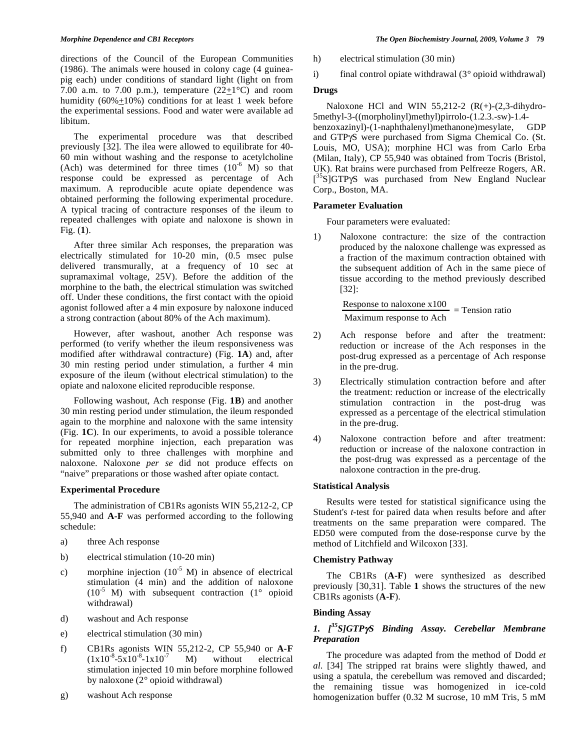directions of the Council of the European Communities (1986). The animals were housed in colony cage (4 guineapig each) under conditions of standard light (light on from 7.00 a.m. to 7.00 p.m.), temperature  $(22+1)$ °C) and room humidity (60%+10%) conditions for at least 1 week before the experimental sessions. Food and water were available ad libitum.

 The experimental procedure was that described previously [32]. The ilea were allowed to equilibrate for 40- 60 min without washing and the response to acetylcholine (Ach) was determined for three times  $(10^{-6}$  M) so that response could be expressed as percentage of Ach maximum. A reproducible acute opiate dependence was obtained performing the following experimental procedure. A typical tracing of contracture responses of the ileum to repeated challenges with opiate and naloxone is shown in Fig. (**1**).

 After three similar Ach responses, the preparation was electrically stimulated for  $10-20$  min,  $(0.5)$  msec pulse delivered transmurally, at a frequency of 10 sec at supramaximal voltage, 25V). Before the addition of the morphine to the bath, the electrical stimulation was switched off. Under these conditions, the first contact with the opioid agonist followed after a 4 min exposure by naloxone induced a strong contraction (about 80% of the Ach maximum).

 However, after washout, another Ach response was performed (to verify whether the ileum responsiveness was modified after withdrawal contracture) (Fig. **1A**) and, after 30 min resting period under stimulation, a further 4 min exposure of the ileum (without electrical stimulation) to the opiate and naloxone elicited reproducible response.

 Following washout, Ach response (Fig. **1B**) and another 30 min resting period under stimulation, the ileum responded again to the morphine and naloxone with the same intensity (Fig. **1C**). In our experiments, to avoid a possible tolerance for repeated morphine injection, each preparation was submitted only to three challenges with morphine and naloxone. Naloxone *per se* did not produce effects on "naive" preparations or those washed after opiate contact.

# **Experimental Procedure**

 The administration of CB1Rs agonists WIN 55,212-2, CP 55,940 and **A-F** was performed according to the following schedule:

- a) three Ach response
- b) electrical stimulation (10-20 min)
- c) morphine injection  $(10^{-5} \text{ M})$  in absence of electrical stimulation (4 min) and the addition of naloxone  $(10^{-5}$  M) with subsequent contraction  $(1^{\circ}$  opioid withdrawal)
- d) washout and Ach response
- e) electrical stimulation (30 min)
- f) CB1Rs agonists WIN 55,212-2, CP 55,940 or **A-F**  $(1x10^{-8}-5x10^{-8}-1x10^{-7})$  M) without electrical stimulation injected 10 min before morphine followed by naloxone (2° opioid withdrawal)
- g) washout Ach response
- h) electrical stimulation (30 min)
- i) final control opiate withdrawal  $(3^{\circ}$  opioid withdrawal)

# **Drugs**

Naloxone HCl and WIN  $55,212-2$  (R(+)-(2,3-dihydro-5methyl-3-((morpholinyl)methyl)pirrolo-(1.2.3.-sw)-1.4 benzoxazinyl)-(1-naphthalenyl)methanone)mesylate, GDP and GTP $\gamma$ S were purchased from Sigma Chemical Co. (St. Louis, MO, USA); morphine HCl was from Carlo Erba (Milan, Italy), CP 55,940 was obtained from Tocris (Bristol, UK). Rat brains were purchased from Pelfreeze Rogers, AR. [<sup>35</sup>S]GTP<sub>Y</sub>S was purchased from New England Nuclear Corp., Boston, MA.

# **Parameter Evaluation**

Four parameters were evaluated:

1) Naloxone contracture: the size of the contraction produced by the naloxone challenge was expressed as a fraction of the maximum contraction obtained with the subsequent addition of Ach in the same piece of tissue according to the method previously described [32]:

Response to naloxone 
$$
x100
$$
 = Tension ratio  
\nMaximum response to Ach

- 2) Ach response before and after the treatment: reduction or increase of the Ach responses in the post-drug expressed as a percentage of Ach response in the pre-drug.
- 3) Electrically stimulation contraction before and after the treatment: reduction or increase of the electrically stimulation contraction in the post-drug was expressed as a percentage of the electrical stimulation in the pre-drug.
- 4) Naloxone contraction before and after treatment: reduction or increase of the naloxone contraction in the post-drug was expressed as a percentage of the naloxone contraction in the pre-drug.

#### **Statistical Analysis**

 Results were tested for statistical significance using the Student's *t*-test for paired data when results before and after treatments on the same preparation were compared. The ED50 were computed from the dose-response curve by the method of Litchfield and Wilcoxon [33].

#### **Chemistry Pathway**

 The CB1Rs (**A-F**) were synthesized as described previously [30,31]. Table **1** shows the structures of the new CB1Rs agonists (**A-F**).

# **Binding Assay**

# *1. [35S]GTPS Binding Assay. Cerebellar Membrane Preparation*

 The procedure was adapted from the method of Dodd *et al*. [34] The stripped rat brains were slightly thawed, and using a spatula, the cerebellum was removed and discarded; the remaining tissue was homogenized in ice-cold homogenization buffer (0.32 M sucrose, 10 mM Tris, 5 mM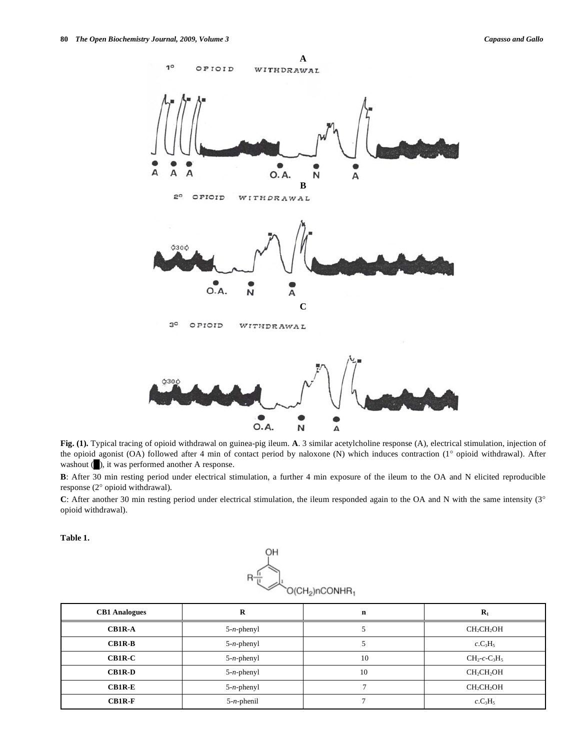

**Fig. (1).** Typical tracing of opioid withdrawal on guinea-pig ileum. **A**. 3 similar acetylcholine response (A), electrical stimulation, injection of the opioid agonist (OA) followed after 4 min of contact period by naloxone (N) which induces contraction (1° opioid withdrawal). After washout ( $\Box$ ), it was performed another A response.

**B**: After 30 min resting period under electrical stimulation, a further 4 min exposure of the ileum to the OA and N elicited reproducible response (2° opioid withdrawal).

C: After another 30 min resting period under electrical stimulation, the ileum responded again to the OA and N with the same intensity (3° opioid withdrawal).

**Table 1.** 



| <b>CB1</b> Analogues | R             | n  | $\mathbf{R}_1$                     |
|----------------------|---------------|----|------------------------------------|
| <b>CB1R-A</b>        | $5-n$ -phenyl |    | CH <sub>2</sub> CH <sub>2</sub> OH |
| $CB1R-B$             | $5-n$ -phenyl |    | $c.C_3H_5$                         |
| $CB1R-C$             | $5-n$ -phenyl | 10 | $CH_2$ -c- $C_3H_5$                |
| <b>CB1R-D</b>        | $5-n$ -phenyl | 10 | CH <sub>2</sub> CH <sub>2</sub> OH |
| $CB1R-E$             | $5-n$ -phenyl |    | CH <sub>2</sub> CH <sub>2</sub> OH |
| $CB1R-F$             | $5-n$ -phenil |    | $c.C_3H_5$                         |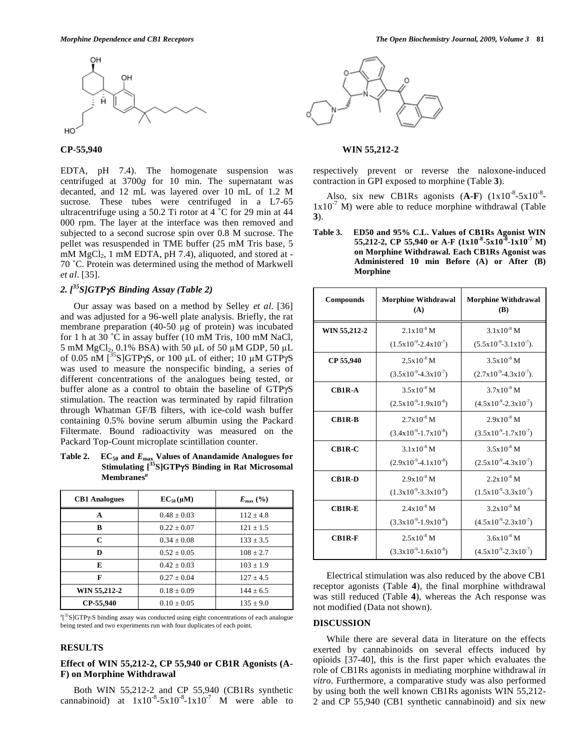

EDTA, pH 7.4). The homogenate suspension was centrifuged at 3700*g* for 10 min. The supernatant was decanted, and 12 mL was layered over 10 mL of 1.2 M sucrose. These tubes were centrifuged in a L7-65 ultracentrifuge using a 50.2 Ti rotor at 4 ˚C for 29 min at 44 000 rpm. The layer at the interface was then removed and subjected to a second sucrose spin over 0.8 M sucrose. The pellet was resuspended in TME buffer (25 mM Tris base, 5 mM MgCl<sub>2</sub>, 1 mM EDTA, pH 7.4), aliquoted, and stored at -70 ˚C. Protein was determined using the method of Markwell *et al*. [35].

# *2. [35S]GTPS Binding Assay (Table 2)*

 Our assay was based on a method by Selley *et al*. [36] and was adjusted for a 96-well plate analysis. Briefly, the rat membrane preparation  $(40-50 \mu g)$  of protein) was incubated for 1 h at 30 ˚C in assay buffer (10 mM Tris, 100 mM NaCl, 5 mM  $MgCl<sub>2</sub>$ , 0.1% BSA) with 50 µL of 50 µM GDP, 50 µL of 0.05 nM  $\left[^{35}S\right]GTP\gamma S$ , or 100 µL of either; 10 µM GTP $\gamma S$ was used to measure the nonspecific binding, a series of different concentrations of the analogues being tested, or buffer alone as a control to obtain the baseline of GTPyS stimulation. The reaction was terminated by rapid filtration through Whatman GF/B filters, with ice-cold wash buffer containing 0.5% bovine serum albumin using the Packard Filtermate. Bound radioactivity was measured on the Packard Top-Count microplate scintillation counter.

Table 2. EC<sub>50</sub> and  $E_{\text{max}}$  Values of Anandamide Analogues for **Stimulating [35S]GTPS Binding in Rat Microsomal Membranes***<sup>a</sup>*

| <b>CB1</b> Analogues | $EC_{50}(\mu M)$ | $E_{\text{max}}$ (%) |
|----------------------|------------------|----------------------|
| A                    | $0.48 + 0.03$    | $112 + 4.8$          |
| B                    | $0.22 + 0.07$    | $121 + 1.5$          |
| C                    | $0.34 + 0.08$    | $133 + 3.5$          |
| D                    | $0.52 \pm 0.05$  | $108 + 2.7$          |
| E                    | $0.42 + 0.03$    | $103 + 1.9$          |
| F                    | $0.27 + 0.04$    | $127 + 4.5$          |
| WIN 55,212-2         | $0.18 \pm 0.09$  | $144 + 6.5$          |
| CP-55.940            | $0.10 \pm 0.05$  | $135 \pm 9.0$        |

 $a_1^{35}$ S]GTP $\gamma$ -S binding assay was conducted using eight concentrations of each analogue being tested and two experiments run with four duplicates of each point.

### **RESULTS**

# **Effect of WIN 55,212-2, CP 55,940 or CB1R Agonists (A-F) on Morphine Withdrawal**

 Both WIN 55,212-2 and CP 55,940 (CB1Rs synthetic cannabinoid) at  $1x10^{-8}-5x10^{-8}-1x10^{-7}$  M were able to



### **CP-55,940 WIN 55,212-2**

respectively prevent or reverse the naloxone-induced contraction in GPI exposed to morphine (Table **3**).

Also, six new CB1Rs agonists  $(A-F)$   $(1x10^{-8}-5x10^{-8} 1x10^{-7}$  M) were able to reduce morphine withdrawal (Table **3**).

**Table 3. ED50 and 95% C.L. Values of CB1Rs Agonist WIN**  55,212-2, CP 55,940 or A-F  $(1x10^{-8}-5x10^{-8}-1x10^{-7})$  M) **on Morphine Withdrawal. Each CB1Rs Agonist was Administered 10 min Before (A) or After (B) Morphine** 

| <b>Compounds</b> | <b>Morphine Withdrawal</b><br>(A) | <b>Morphine Withdrawal</b><br>(B) |
|------------------|-----------------------------------|-----------------------------------|
| WIN 55,212-2     | $2.1x10^{-8}$ M                   | $3.1 \times 10^{-8}$ M            |
|                  | $(1.5x10^{9}-2.4x10^{7})$         | $(5.5x10^{-9}-3.1x10^{-7}).$      |
| CP 55,940        | $2.5x10^{-8}$ M                   | $3.5x10^{-8}$ M                   |
|                  | $(3.5x10^{-9} - 4.3x10^{-7})$     | $(2.7x10^{-9}-4.3x10^{-7}).$      |
| <b>CB1R-A</b>    | $3.5x10^{-8}$ M                   | $3.7x10^{-8}$ M                   |
|                  | $(2.5x10^{-9}-1.9x10^{-8})$       | $(4.5x10^{-9} - 2.3x10^{-7})$     |
| <b>CB1R-B</b>    | $2.7x10^{-8}$ M                   | $2.9x10^{-8}$ M                   |
|                  | $(3.4x10^{9}-1.7x10^{8})$         | $(3.5x10^{9}-1.7x10^{7})$         |
| CB1R-C           | $3.1x10^{-8}$ M                   | $3.5x10^{-8}$ M                   |
|                  | $(2.9x10^{9}-4.1x10^{8})$         | $(2.5x10^{-9}-4.3x10^{-7})$       |
| <b>CB1R-D</b>    | $2.9x10^{-8}$ M                   | $2.2x10^{-8}$ M                   |
|                  | $(1.3x10^{-9}-3.3x10^{-8})$       | $(1.5x10^{-9}-3.3x10^{-7})$       |
| $CB1R-E$         | $2.4x10^{-8}$ M                   | $3.2x10^{-8}$ M                   |
|                  | $(3.3x10^{-9}-1.9x10^{-8})$       | $(4.5x10^{-9} - 2.3x10^{-7})$     |
| <b>CB1R-F</b>    | $2.5x10^{-8}$ M                   | $3.6x10^{-8}$ M                   |
|                  | $(3.3x10^{-9}-1.6x10^{-8})$       | $(4.5x10^{-9} - 2.3x10^{-7})$     |

 Electrical stimulation was also reduced by the above CB1 receptor agonists (Table **4**), the final morphine withdrawal was still reduced (Table **4**), whereas the Ach response was not modified (Data not shown).

### **DISCUSSION**

 While there are several data in literature on the effects exerted by cannabinoids on several effects induced by opioids [37-40], this is the first paper which evaluates the role of CB1Rs agonists in mediating morphine withdrawal *in vitro*. Furthermore, a comparative study was also performed by using both the well known CB1Rs agonists WIN 55,212- 2 and CP 55,940 (CB1 synthetic cannabinoid) and six new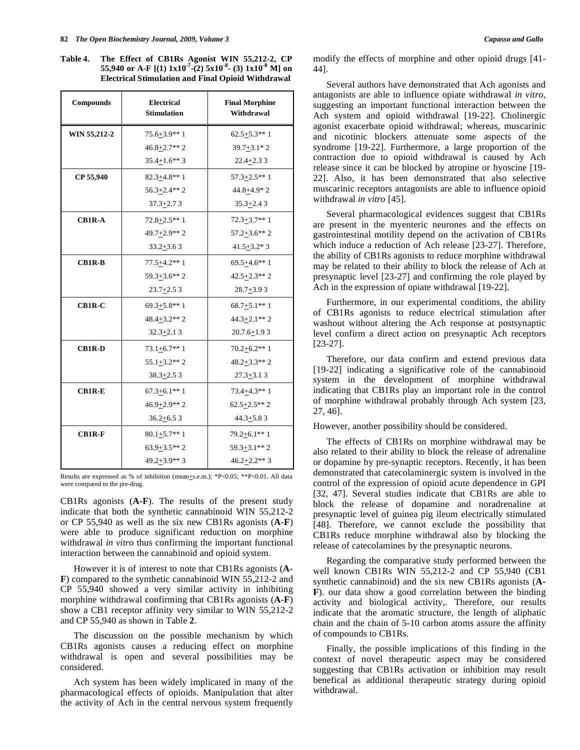**Table 4. The Effect of CB1Rs Agonist WIN 55,212-2, CP 55,940 or A-F [(1) 1x10-7-(2) 5x10-8- (3) 1x10-8 M] on Electrical Stimulation and Final Opioid Withdrawal** 

| Compounds     | <b>Electrical</b><br><b>Stimulation</b> | <b>Final Morphine</b><br>Withdrawal |
|---------------|-----------------------------------------|-------------------------------------|
| WIN 55,212-2  | $75.6 + 3.9**1$                         | $62.5 + 5.3**1$                     |
|               | $46.8 + 2.7**2$                         | $39.7 + 3.1 * 2$                    |
|               | $35.4 + 1.6**3$                         | $22.4 + 2.33$                       |
| CP 55,940     | $82.3 + 4.8**1$                         | $57.3 + 2.5**1$                     |
|               | $56.3 + 2.4**2$                         | 44.8+4.9*2                          |
|               | $37.3 + 2.73$                           | $35.3 + 2.43$                       |
| CB1R-A        | $72.8 + 2.5**1$                         | $72.3 + 3.7**1$                     |
|               | 49.7+2.9**2                             | $57.2 + 3.6**2$                     |
|               | $33.2 + 3.63$                           | $41.5 + 3.2 * 3$                    |
| <b>CB1R-B</b> | $77.5 + 4.2**1$                         | $69.5 + 4.6**1$                     |
|               | $59.3 + 3.6**2$                         | $42.5 + 2.3$ ** 2                   |
|               | $23.7 + 2.53$                           | $28.7 + 3.93$                       |
| CB1R-C        | $69.3 + 5.8**1$                         | $68.7 + 5.1**1$                     |
|               | $48.4 + 3.2**2$                         | $44.3 + 2.1$ ** 2                   |
|               | $32.3 + 2.13$                           | $20.7.6 + 1.93$                     |
| CB1R-D        | $73.1 + 6.7**1$                         | $70.2 + 6.2**1$                     |
|               | $55.1 + 3.2**2$                         | $48.2 + 3.3**2$                     |
|               | $38.3 + 2.53$                           | $27.3 + 3.13$                       |
| <b>CB1R-E</b> | $67.3 + 6.1**1$                         | $73.4 + 4.3**1$                     |
|               | $46.9+2.9**2$                           | $62.5 + 2.5$ ** 2                   |
|               | $36.2 + 6.53$                           | $44.3 + 5.83$                       |
| <b>CB1R-F</b> | $80.1 + 5.7**1$                         | $79.2 + 6.1**1$                     |
|               | $63.9 + 3.5**2$                         | $59.3 + 3.1**2$                     |
|               | $49.2 + 3.9$ ** 3                       | $46.2 + 2.2$ ** 3                   |

Results are expressed as % of inhibition (mean+s.e.m.); \*P<0.05; \*\*P<0.01. All data were compared to the pre-drug.

CB1Rs agonists (**A-F**). The results of the present study indicate that both the synthetic cannabinoid WIN 55,212-2 or CP 55,940 as well as the six new CB1Rs agonists (**A-F**) were able to produce significant reduction on morphine withdrawal *in vitro* thus confirming the important functional interaction between the cannabinoid and opioid system.

 However it is of interest to note that CB1Rs agonists (**A-F**) compared to the synthetic cannabinoid WIN 55,212-2 and CP 55,940 showed a very similar activity in inhibiting morphine withdrawal confirming that CB1Rs agonists (**A-F**) show a CB1 receptor affinity very similar to WIN 55,212-2 and CP 55,940 as shown in Table **2**.

 The discussion on the possible mechanism by which CB1Rs agonists causes a reducing effect on morphine withdrawal is open and several possibilities may be considered.

 Ach system has been widely implicated in many of the pharmacological effects of opioids. Manipulation that alter the activity of Ach in the central nervous system frequently

 Several authors have demonstrated that Ach agonists and antagonists are able to influence opiate withdrawal *in vitro*, suggesting an important functional interaction between the Ach system and opioid withdrawal [19-22]. Cholinergic agonist exacerbate opioid withdrawal; whereas, muscarinic and nicotinic blockers attenuate some aspects of the syndrome [19-22]. Furthermore, a large proportion of the contraction due to opioid withdrawal is caused by Ach release since it can be blocked by atropine or hyoscine [19- 22]. Also, it has been demonstrated that also selective muscarinic receptors antagonists are able to influence opioid withdrawal *in vitro* [45].

 Several pharmacological evidences suggest that CB1Rs are present in the myenteric neurones and the effects on gastrointestinal motility depend on the activation of CB1Rs which induce a reduction of Ach release [23-27]. Therefore, the ability of CB1Rs agonists to reduce morphine withdrawal may be related to their ability to block the release of Ach at presynaptic level [23-27] and confirming the role played by Ach in the expression of opiate withdrawal [19-22].

 Furthermore, in our experimental conditions, the ability of CB1Rs agonists to reduce electrical stimulation after washout without altering the Ach response at postsynaptic level confirm a direct action on presynaptic Ach receptors [23-27].

 Therefore, our data confirm and extend previous data [19-22] indicating a significative role of the cannabinoid system in the development of morphine withdrawal indicating that CB1Rs play an important role in the control of morphine withdrawal probably through Ach system [23, 27, 46].

However, another possibility should be considered.

 The effects of CB1Rs on morphine withdrawal may be also related to their ability to block the release of adrenaline or dopamine by pre-synaptic receptors. Recently, it has been demonstrated that catecolaminergic system is involved in the control of the expression of opioid acute dependence in GPI [32, 47]. Several studies indicate that CB1Rs are able to block the release of dopamine and noradrenaline at presynaptic level of guinea pig ileum electrically stimulated [48]. Therefore, we cannot exclude the possibility that CB1Rs reduce morphine withdrawal also by blocking the release of catecolamines by the presynaptic neurons.

 Regarding the comparative study performed between the well known CB1Rs WIN 55,212-2 and CP 55,940 (CB1 synthetic cannabinoid) and the six new CB1Rs agonists (**A-F**). our data show a good correlation between the binding activity and biological activity,. Therefore, our results indicate that the aromatic structure, the length of aliphatic chain and the chain of 5-10 carbon atoms assure the affinity of compounds to CB1Rs.

 Finally, the possible implications of this finding in the context of novel therapeutic aspect may be considered suggesting that CB1Rs activation or inhibition may result benefical as additional therapeutic strategy during opioid withdrawal.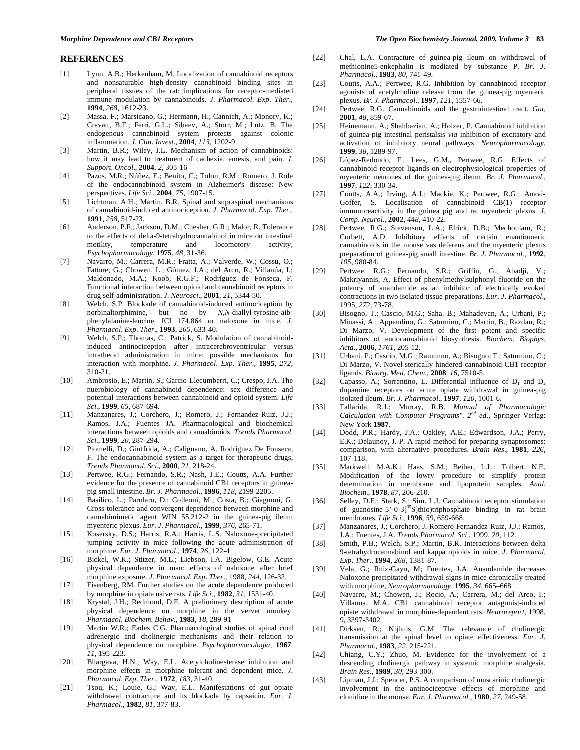#### **REFERENCES**

- [1] Lynn, A.B.; Herkenham, M. Localization of cannabinoid receptors and nonsaturable high-density cannabinoid binding sites in peripheral tissues of the rat: implications for receptor-mediated immune modulation by cannabinoids. *J*. *Pharmacol*. *Exp*. *Ther*., **1994**, *268*, 1612-23.
- [2] Massa, F.; Marsicano, G.; Hermann, H.; Cannich, A.; Monory, K.; Cravatt, B.F.; Ferri, G.L.; Sibaev, A.; Storr, M.; Lutz, B. The endogenous cannabinoid system protects against colonic inflammation. *J*. *Clin*. *Invest*., **2004**, *113*, 1202-9.
- [3] Martin, B.R.; Wiley, J.L. Mechanism of action of cannabinoids: how it may lead to treatment of cachexia, emesis, and pain. *J*. *Support*. *Oncol*., **2004**, *2*, 305-16
- [4] Pazos, M.R.; Núñez, E.; Benito, C.; Tolon, R.M.; Romero, J. Role of the endocannabinoid system in Alzheimer's disease: New perspectives. *Life Sci*., **2004**, *75*, 1907-15.
- [5] Lichtman, A.H.; Martin, B.R. Spinal and supraspinal mechanisms of cannabinoid-induced antinociception. *J*. *Pharmacol*. *Exp*. *Ther*., **1991**, *258*, 517-23.
- [6] Anderson, P.F.; Jackson, D.M.; Chesher, G.R.; Malor, R. Tolerance to the effects of delta-9-tetrahydrocannabinol in mice on intestinal motility, temperature and locomotory activity, *Psychopharmacology,* **1975**, *48,* 31-36.
- [7] Navarro, M.; Carrera, M.R.; Fratta, A.; Valverde, W.; Cossu, O.; Fattore, G.; Chowen, L.; Gómez, J.A.; del Arco, R.; Villanúa, I.; Maldonado, M.A.; Koob, R.G.F.; Rodríguez de Fonseca, F. Functional interaction between opioid and cannabinoid receptors in drug self-administration. *J*. *Neurosci*., **2001**, *21*, 5344-50.
- [8] Welch, S.P. Blockade of cannabinoid-induced antinociception by norbinaltorphimine, but no by *N*,*N*-diallyl-tyrosine-aibphenylalanine-leucine, ICI 174,864 or naloxone in mice. *J*. *Pharmacol*. *Exp*. *Ther*., **1993**, *265*, 633-40.
- [9] Welch, S.P.; Thomas, C.; Patrick, S. Modulation of cannabinoidinduced antinociception after intracerebroventricular versus intrathecal administration in mice: possible mechanisms for interaction with morphine. *J*. *Pharmacol*. *Exp*. *Ther*.*,* **1995**, *272*, 310-21.
- [10] Ambrosio, E.; Martin, S.; Garcio-Llecumberri, C.; Crespo, J.A. The nuerobiology of cannabinoid dependence: sex difference and potential interactions between cannabinoid and opioid system. *Life Sci*., **1999**, *65*, 687-694.
- [11] Manzanares, J.; Corchero, J.; Romero, J.; Fernandez-Ruiz, J.J.; Ramos, J.A.; Fuentes JA. Pharmacological and biochemical interactions between opioids and cannabinoids. *Trends Pharmacol*. *Sci*.*,* **1999**, *20*, 287-294.
- [12] Piomelli, D.; Giuffrida, A.; Calignano, A. Rodriguez De Fonseca, F. The endocannabinoid system as a target for therapeutic drugs, *Trends Pharmacol*. *Sci*., **2000**, *21*, 218-24.
- [13] Pertwee, R.G.; Fernando, S.R.; Nash, J.E.; Coutts, A.A. Further evidence for the presence of cannabinoid CB1 receptors in guineapig small intestine. *Br*. *J*. *Pharmacol*., **1996**, *118*, 2199-2205.
- [14] Basilico, L.; Parolaro, D.; Colleoni, M.; Costa, B.; Giagnoni, G. Cross-tolerance and convergent dependence between morphine and cannabimimetic agent WIN 55,212-2 in the guinea-pig ileum myenteric plexus. *Eur*. *J*. *Pharmacol*., **1999**, *376*, 265-71.
- [15] Kosersky, D.S.; Harris, R.A.; Harris, L.S. Naloxone-precipitated jumping activity in mice following the acute administration of morphine. *Eur*. *J*. *Pharmacol*., **1974**, *26*, 122-4
- [16] Bickel, W.K.; Stitzer, M.L.; Liebson, I.A. Bigelow, G.E. Acute physical dependence in man: effects of naloxone after brief morphine exposure. *J*. *Pharmacol*. *Exp*. *Ther*., 1988, *244*, 126-32.
- [17] Eisenberg, RM. Further studies on the acute dependence produced by morphine in opiate naive rats. *Life Sci*., **1982**, *31*, 1531-40.
- [18] Krystal, J.H.; Redmond, D.E. A preliminary description of acute physical dependence on morphine in the vervet monkey. *Pharmacol*. *Biochem*. *Behav*., **1983**, *18*, 289-91
- [19] Martin W.R.; Eades C.G. Pharmacological studies of spinal cord adrenergic and cholinergic mechanisms and their relation to physical dependence on morphine. *Psychopharmacologia*, **1967**, *11*, 195-223.
- [20] Bhargava, H.N.; Way, E.L. Acetylcholinesterase inhibition and morphine effects in morphine tolerant and dependent mice. *J*. *Pharmacol*. *Exp*. *Ther*., **1972**, *183*, 31-40.
- [21] Tsou, K.; Louie, G.; Way, E.L. Manifestations of gut opiate withdrawal contracture and its blockade by capsaicin. *Eur*. *J*. *Pharmacol*., **1982**, *81*, 377-83.
- [22] Chal, L.A. Contracture of guinea-pig ileum on withdrawal of methionine5-enkephalin is mediated by substance P. *Br*. *J*. *Pharmacol*., **1983**, *80*, 741-49.
- [23] Coutts, A.A.; Pertwee, R.G. Inhibition by cannabinoid receptor agonists of acetylcholine release from the guinea-pig myenteric plexus. *Br*. *J*. *Pharmacol*., **1997**, *121*, 1557-66.
- [24] Pertwee, R.G. Cannabinoids and the gastrointestinal tract. *Gut*, **2001**, *48*, 859-67.
- [25] Heinemann, A.; Shahbazian, A.; Holzer, P. Cannabinoid inhibition of guinea-pig intestinal peristalsis *via* inhibition of excitatory and activation of inhibitory neural pathways. *Neuropharmacology*, **1999**, *38*, 1289-97.
- [26] López-Redondo, F., Lees, G.M., Pertwee, R.G. Effects of cannabinoid receptor ligands on electrophysiological properties of myenteric neurones of the guinea-pig ileum. *Br*. *J*. *Pharmacol*., **1997**, *122*, 330-34.
- [27] Coutts, A.A.; Irving, A.J.; Mackie, K.; Pertwee, R.G.; Anavi-Goffer, S. Localisation of cannabinoid CB(1) receptor immunoreactivity in the guinea pig and rat myenteric plexus. *J*. *Comp*. *Neurol*., **2002**, *448*, 410-22.
- [28] Pertwee, R.G.; Stevenson, L.A.; Elrick, D.B.; Mechoulam, R.; Corbett, A.D. Inhibitory effects of certain enantiomeric cannabinoids in the mouse vas deferens and the myenteric plexus preparation of guinea-pig small intestine. *Br*. *J*. *Pharmacol*., **1992**, *105*, 980-84.
- [29] Pertwee, R.G.; Fernando, S.R.; Griffin, G.; Abadji, V.; Makriyannis, A. Effect of phenylmethylsulphonyl fluoride on the potency of anandamide as an inhibitor of electrically evoked contractions in two isolated tissue preparations. *Eur*. *J*. *Pharmacol*., 1995, *272*, 73-78.
- [30] Bisogno, T.; Cascio, M.G.; Saha. B.; Mahadevan, A.; Urbani, P.; Minassi, A.; Appendino, G.; Saturnino, C.; Martin, B.; Razdan, R.; Di Marzo, V. Development of the first potent and specific inhibitors of endocannabinoid biosynthesis. *Biochem*. *Biophys*. *Acta*., **2006**, *1761*, 205-12.
- [31] Urbani, P.; Cascio, M.G.; Ramunno, A.; Bisogno, T.; Saturnino, C.; Di Marzo, V. Novel sterically hindered cannabinoid CB1 receptor ligands. *Bioorg*. *Med*. *Chem*., **2008**, *16,* 7510-5.
- [32] Capasso, A.; Sorrentino, L. Differential influence of  $D_1$  and  $D_2$ dopamine receptors on acute opiate withdrawal in guinea-pig isolated ileum. *Br*. *J*. *Pharmacol*., **1997**, *120*, 1001-6.
- [33] Tallarida, R.J.; Murray, R.B. *Manual of Pharmacologic Calculation with Computer Programs". 2nd ed.*, Springer Verlag: New York **1987**.
- [34] Dodd, P.R.; Hardy, J.A.; Oakley, A.E.; Edwardson, J.A.; Perry, E.K.; Delaunoy, J.-P. A rapid method for preparing synaptosomes: comparison, with alternative procedures. *Brain Res*., **1981**, *226*, 107-118.
- [35] Markwell, M.A.K.; Haas, S.M.; Beiber, L.L.; Tolbert, N.E. Modification of the lowry procedure to simplify protein determination in membrane and lipoprotein samples. *Anal*. *Biochem*., **1978**, *87*, 206-210.
- [36] Selley, D.E.; Stark, S.; Sim, L.J. Cannabinoid receptor stimulation of guanosine-5'-0-3 $[^{35}S]$ thio)triphosphate binding in rat brain membranes. *Life Sci*., **1996**, *59*, 659-668.
- [37] Manzanares, J.; Corchero, J. Romero Fernandez-Ruiz, J.J.; Ramos, J.A.; Fuentes, J.A. *Trends Pharmacol*. *Sci*., 1999, *20,* 112*.*
- [38] Smith, P.B.; Welch, S.P.; Martin, B.R. Interactions between delta 9-tetrahydrocannabinol and kappa opioids in mice. *J*. *Pharmacol*. *Exp*. *Ther*., **1994**, *268*, 1381-87.
- [39] Vela, G.; Ruiz-Gayo, M; Fuentes, J.A. Anandamide decreases Naloxone-precipitated withdrawal signs in mice chronically treated with morphine, *Neuropharmacology*, **1995**, *34*, 665–668
- [40] Navarro, M.; Chowen, J.; Rocio, A.; Carrera, M.; del Arco, I.; Villanua, M.A. CB1 cannabinoid receptor antagonist-induced opiate withdrawal in morphine-dependent rats. *Neuroreport*, 1998, *9,* 3397-3402
- [41] Dirksen, R.; Nijhuis, G.M. The relevance of cholinergic transmission at the spinal level to opiate effectiveness. *Eur*. *J*. *Pharmacol*., **1983**, *22*, 215-221.
- [42] Chiang, C.Y.; Zhuo, M. Evidence for the involvement of a descending cholinergic pathway in systemic morphine analgesia. *Brain Res.,* **1989**, *30*, 293-300.
- [43] Lipman, J.J.; Spencer, P.S. A comparison of muscarinic cholinergic involvement in the antinociceptive effects of morphine and clonidine in the mouse. *Eur*. *J*. *Pharmacol.*, **1980**, *27*, 249-58.